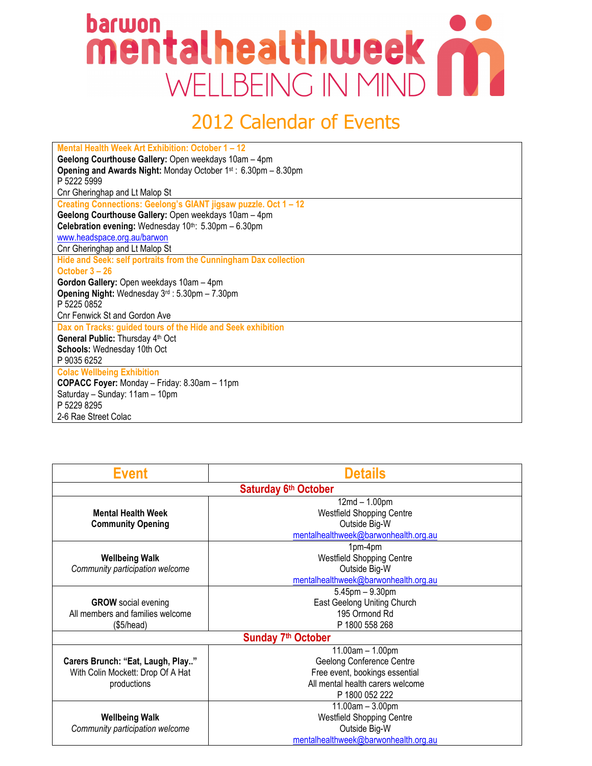## barwon<br>mentalhealthweek WELLBEING IN MIND

## 2012 Calendar of Events

| Mental Health Week Art Exhibition: October 1 - 12                |
|------------------------------------------------------------------|
| Geelong Courthouse Gallery: Open weekdays 10am - 4pm             |
| Opening and Awards Night: Monday October 1st: 6.30pm - 8.30pm    |
| P 5222 5999                                                      |
| Cnr Gheringhap and Lt Malop St                                   |
| Creating Connections: Geelong's GIANT jigsaw puzzle. Oct 1 - 12  |
| Geelong Courthouse Gallery: Open weekdays 10am - 4pm             |
| Celebration evening: Wednesday 10th: 5.30pm - 6.30pm             |
| www.headspace.org.au/barwon                                      |
| Cnr Gheringhap and Lt Malop St                                   |
| Hide and Seek: self portraits from the Cunningham Dax collection |
| October $3 - 26$                                                 |
| Gordon Gallery: Open weekdays 10am - 4pm                         |
| Opening Night: Wednesday 3rd: 5.30pm - 7.30pm                    |
| P 5225 0852                                                      |
| Cnr Fenwick St and Gordon Ave                                    |
| Dax on Tracks: guided tours of the Hide and Seek exhibition      |
| General Public: Thursday 4th Oct                                 |
| Schools: Wednesday 10th Oct                                      |
| P 9035 6252                                                      |
| <b>Colac Wellbeing Exhibition</b>                                |
| <b>COPACC Foyer:</b> Monday - Friday: 8.30am - 11pm              |
| Saturday - Sunday: 11am - 10pm                                   |
| P 5229 8295                                                      |
| 2-6 Rae Street Colac                                             |

| <b>Event</b>                                                                          | <b>Details</b>                                                                                                                        |
|---------------------------------------------------------------------------------------|---------------------------------------------------------------------------------------------------------------------------------------|
|                                                                                       | Saturday 6th October                                                                                                                  |
| <b>Mental Health Week</b><br><b>Community Opening</b>                                 | $12md - 1.00pm$<br><b>Westfield Shopping Centre</b><br>Outside Big-W<br>mentalhealthweek@barwonhealth.org.au                          |
| <b>Wellbeing Walk</b><br>Community participation welcome                              | 1pm-4pm<br><b>Westfield Shopping Centre</b><br>Outside Big-W<br>mentalhealthweek@barwonhealth.org.au                                  |
| <b>GROW</b> social evening<br>All members and families welcome<br>(\$5/head)          | $5.45$ pm $-9.30$ pm<br>East Geelong Uniting Church<br>195 Ormond Rd<br>P 1800 558 268                                                |
|                                                                                       | Sunday 7 <sup>th</sup> October                                                                                                        |
| Carers Brunch: "Eat, Laugh, Play"<br>With Colin Mockett: Drop Of A Hat<br>productions | 11.00am - 1.00pm<br>Geelong Conference Centre<br>Free event, bookings essential<br>All mental health carers welcome<br>P 1800 052 222 |
| <b>Wellbeing Walk</b><br>Community participation welcome                              | 11.00am - 3.00pm<br><b>Westfield Shopping Centre</b><br>Outside Big-W<br>mentalhealthweek@barwonhealth.org.au                         |